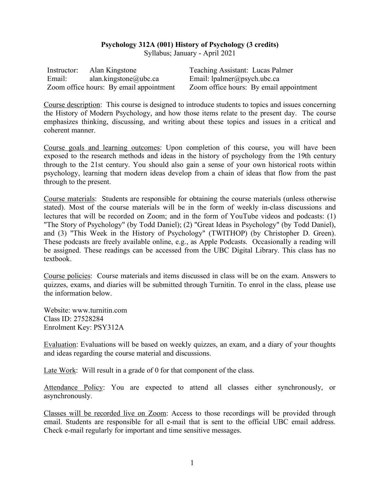## **Psychology 312A (001) History of Psychology (3 credits)**

Syllabus; January - April 2021

|        | Instructor: Alan Kingstone              | Teaching Assistant: Lucas Palmer        |
|--------|-----------------------------------------|-----------------------------------------|
| Email: | alan.kingstone@ubc.ca                   | Email: $l$ palmer@psych.ubc.ca          |
|        | Zoom office hours: By email appointment | Zoom office hours: By email appointment |

Course description: This course is designed to introduce students to topics and issues concerning the History of Modern Psychology, and how those items relate to the present day. The course emphasizes thinking, discussing, and writing about these topics and issues in a critical and coherent manner.

Course goals and learning outcomes: Upon completion of this course, you will have been exposed to the research methods and ideas in the history of psychology from the 19th century through to the 21st century. You should also gain a sense of your own historical roots within psychology, learning that modern ideas develop from a chain of ideas that flow from the past through to the present.

Course materials: Students are responsible for obtaining the course materials (unless otherwise stated). Most of the course materials will be in the form of weekly in-class discussions and lectures that will be recorded on Zoom; and in the form of YouTube videos and podcasts: (1) "The Story of Psychology" (by Todd Daniel); (2) "Great Ideas in Psychology" (by Todd Daniel), and (3) "This Week in the History of Psychology" (TWITHOP) (by Christopher D. Green). These podcasts are freely available online, e.g., as Apple Podcasts. Occasionally a reading will be assigned. These readings can be accessed from the UBC Digital Library. This class has no textbook.

Course policies: Course materials and items discussed in class will be on the exam. Answers to quizzes, exams, and diaries will be submitted through Turnitin. To enrol in the class, please use the information below.

Website: www.turnitin.com Class ID: 27528284 Enrolment Key: PSY312A

Evaluation: Evaluations will be based on weekly quizzes, an exam, and a diary of your thoughts and ideas regarding the course material and discussions.

Late Work: Will result in a grade of 0 for that component of the class.

Attendance Policy: You are expected to attend all classes either synchronously, or asynchronously.

Classes will be recorded live on Zoom: Access to those recordings will be provided through email. Students are responsible for all e-mail that is sent to the official UBC email address. Check e-mail regularly for important and time sensitive messages.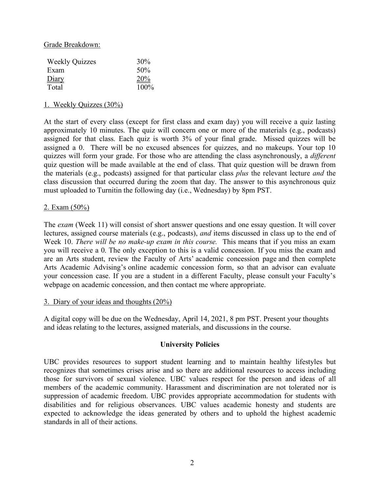Grade Breakdown:

| <b>Weekly Quizzes</b> | 30%  |
|-----------------------|------|
| Exam                  | 50%  |
| Diary                 | 20%  |
| Total                 | 100% |

## 1. Weekly Quizzes (30%)

At the start of every class (except for first class and exam day) you will receive a quiz lasting approximately 10 minutes. The quiz will concern one or more of the materials (e.g., podcasts) assigned for that class. Each quiz is worth 3% of your final grade. Missed quizzes will be assigned a 0. There will be no excused absences for quizzes, and no makeups. Your top 10 quizzes will form your grade. For those who are attending the class asynchronously, a *different* quiz question will be made available at the end of class. That quiz question will be drawn from the materials (e.g., podcasts) assigned for that particular class *plus* the relevant lecture *and* the class discussion that occurred during the zoom that day. The answer to this asynchronous quiz must uploaded to Turnitin the following day (i.e., Wednesday) by 8pm PST.

## 2. Exam (50%)

The *exam* (Week 11) will consist of short answer questions and one essay question. It will cover lectures, assigned course materials (e.g., podcasts), *and* items discussed in class up to the end of Week 10. *There will be no make-up exam in this course.* This means that if you miss an exam you will receive a 0. The only exception to this is a valid concession. If you miss the exam and are an Arts student, review the Faculty of Arts' academic concession page and then complete Arts Academic Advising's online academic concession form, so that an advisor can evaluate your concession case. If you are a student in a different Faculty, please consult your Faculty's webpage on academic concession, and then contact me where appropriate.

#### 3. Diary of your ideas and thoughts (20%)

A digital copy will be due on the Wednesday, April 14, 2021, 8 pm PST. Present your thoughts and ideas relating to the lectures, assigned materials, and discussions in the course.

## **University Policies**

UBC provides resources to support student learning and to maintain healthy lifestyles but recognizes that sometimes crises arise and so there are additional resources to access including those for survivors of sexual violence. UBC values respect for the person and ideas of all members of the academic community. Harassment and discrimination are not tolerated nor is suppression of academic freedom. UBC provides appropriate accommodation for students with disabilities and for religious observances. UBC values academic honesty and students are expected to acknowledge the ideas generated by others and to uphold the highest academic standards in all of their actions.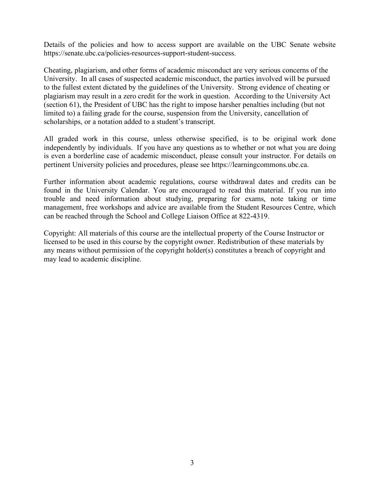Details of the policies and how to access support are available on the UBC Senate website https://senate.ubc.ca/policies-resources-support-student-success.

Cheating, plagiarism, and other forms of academic misconduct are very serious concerns of the University. In all cases of suspected academic misconduct, the parties involved will be pursued to the fullest extent dictated by the guidelines of the University. Strong evidence of cheating or plagiarism may result in a zero credit for the work in question. According to the University Act (section 61), the President of UBC has the right to impose harsher penalties including (but not limited to) a failing grade for the course, suspension from the University, cancellation of scholarships, or a notation added to a student's transcript.

All graded work in this course, unless otherwise specified, is to be original work done independently by individuals. If you have any questions as to whether or not what you are doing is even a borderline case of academic misconduct, please consult your instructor. For details on pertinent University policies and procedures, please see https://learningcommons.ubc.ca.

Further information about academic regulations, course withdrawal dates and credits can be found in the University Calendar. You are encouraged to read this material. If you run into trouble and need information about studying, preparing for exams, note taking or time management, free workshops and advice are available from the Student Resources Centre, which can be reached through the School and College Liaison Office at 822-4319.

Copyright: All materials of this course are the intellectual property of the Course Instructor or licensed to be used in this course by the copyright owner. Redistribution of these materials by any means without permission of the copyright holder(s) constitutes a breach of copyright and may lead to academic discipline.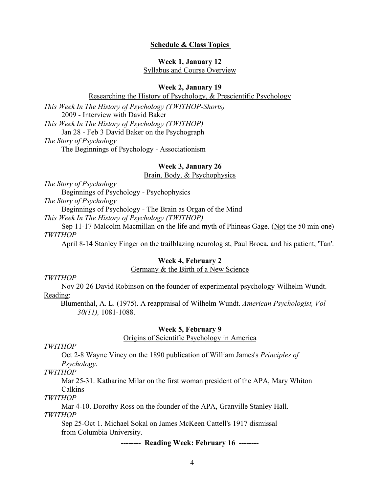#### **Schedule & Class Topics**

## **Week 1, January 12** Syllabus and Course Overview

#### **Week 2, January 19**

Researching the History of Psychology, & Prescientific Psychology

*This Week In The History of Psychology (TWITHOP-Shorts)* 2009 - Interview with David Baker *This Week In The History of Psychology (TWITHOP)* Jan 28 - Feb 3 David Baker on the Psychograph *The Story of Psychology* The Beginnings of Psychology - Associationism

## **Week 3, January 26**

### Brain, Body, & Psychophysics

*The Story of Psychology* 

Beginnings of Psychology - Psychophysics

*The Story of Psychology* 

Beginnings of Psychology - The Brain as Organ of the Mind

*This Week In The History of Psychology (TWITHOP)*

Sep 11-17 Malcolm Macmillan on the life and myth of Phineas Gage. (Not the 50 min one) *TWITHOP*

April 8-14 Stanley Finger on the trailblazing neurologist, Paul Broca, and his patient, 'Tan'.

#### **Week 4, February 2**

#### Germany & the Birth of a New Science

#### *TWITHOP*

Nov 20-26 David Robinson on the founder of experimental psychology Wilhelm Wundt. Reading:

Blumenthal, A. L. (1975). A reappraisal of Wilhelm Wundt. *American Psychologist, Vol 30(11),* 1081-1088.

#### **Week 5, February 9**

## Origins of Scientific Psychology in America

*TWITHOP*

Oct 2-8 Wayne Viney on the 1890 publication of William James's *Principles of Psychology*.

### *TWITHOP*

Mar 25-31. Katharine Milar on the first woman president of the APA, Mary Whiton Calkins

*TWITHOP*

Mar 4-10. Dorothy Ross on the founder of the APA, Granville Stanley Hall. *TWITHOP*

Sep 25-Oct 1. Michael Sokal on James McKeen Cattell's 1917 dismissal from Columbia University.

**-------- Reading Week: February 16 --------**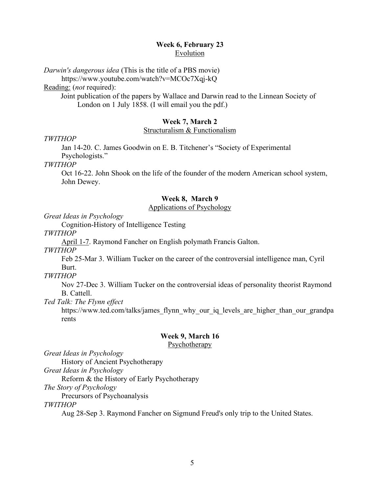# **Week 6, February 23** Evolution

*Darwin's dangerous idea* (This is the title of a PBS movie)

https://www.youtube.com/watch?v=MCOc7Xqj-kQ

Reading: (*not* required):

Joint publication of the papers by Wallace and Darwin read to the Linnean Society of London on 1 July 1858. (I will email you the pdf.)

# **Week 7, March 2**

## Structuralism & Functionalism

*TWITHOP*

Jan 14-20. C. James Goodwin on E. B. Titchener's "Society of Experimental Psychologists."

*TWITHOP*

Oct 16-22. John Shook on the life of the founder of the modern American school system, John Dewey.

# **Week 8, March 9**

## Applications of Psychology

*Great Ideas in Psychology* 

Cognition-History of Intelligence Testing

*TWITHOP*

April 1-7. Raymond Fancher on English polymath Francis Galton.

*TWITHOP*

Feb 25-Mar 3. William Tucker on the career of the controversial intelligence man, Cyril Burt.

*TWITHOP*

Nov 27-Dec 3. William Tucker on the controversial ideas of personality theorist Raymond B. Cattell.

*Ted Talk: The Flynn effect*

https://www.ted.com/talks/james\_flynn\_why\_our\_iq\_levels\_are\_higher\_than\_our\_grandpa rents

# **Week 9, March 16**

**Psychotherapy** 

*Great Ideas in Psychology* 

History of Ancient Psychotherapy

*Great Ideas in Psychology* 

Reform & the History of Early Psychotherapy

*The Story of Psychology* 

Precursors of Psychoanalysis

*TWITHOP*

Aug 28-Sep 3. Raymond Fancher on Sigmund Freud's only trip to the United States.